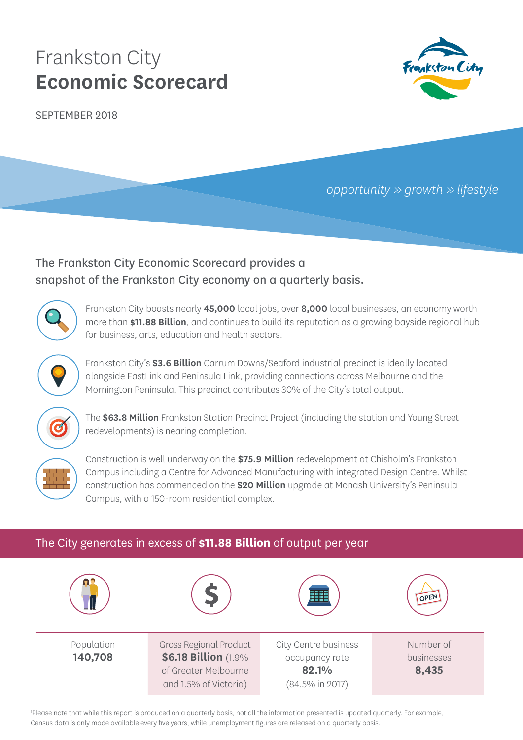# Frankston City **Economic Scorecard**

SEPTEMBER 2018



*opportunity >> growth >> lifestyle*

## The Frankston City Economic Scorecard provides a snapshot of the Frankston City economy on a quarterly basis.



Frankston City boasts nearly **45,000** local jobs, over **8,000** local businesses, an economy worth more than **\$11.88 Billion**, and continues to build its reputation as a growing bayside regional hub for business, arts, education and health sectors.



Frankston City's **\$3.6 Billion** Carrum Downs/Seaford industrial precinct is ideally located alongside EastLink and Peninsula Link, providing connections across Melbourne and the Mornington Peninsula. This precinct contributes 30% of the City's total output.



The **\$63.8 Million** Frankston Station Precinct Project (including the station and Young Street redevelopments) is nearing completion.



Construction is well underway on the **\$75.9 Million** redevelopment at Chisholm's Frankston Campus including a Centre for Advanced Manufacturing with integrated Design Centre. Whilst construction has commenced on the **\$20 Million** upgrade at Monash University's Peninsula Campus, with a 150-room residential complex.

## The City generates in excess of **\$11.88 Billion** of output per year



1 Please note that while this report is produced on a quarterly basis, not all the information presented is updated quarterly. For example, Census data is only made available every five years, while unemployment figures are released on a quarterly basis.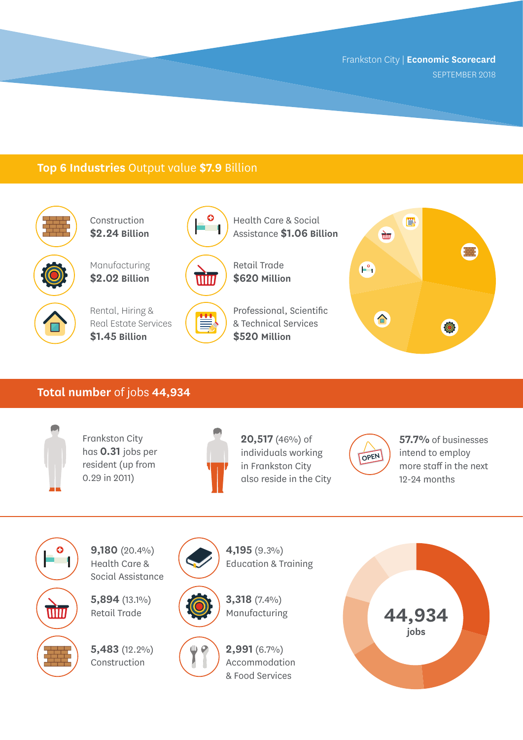### **Top 6 Industries** Output value **\$7.9** Billion



Construction **\$2.24 Billion**

Manufacturing **\$2.02 Billion**



Rental, Hiring & Real Estate Services **\$1.45 Billion**



 $\bullet$ i d

> Retail Trade **\$620 Million**

Health Care & Social Assistance **\$1.06 Billion**



Professional, Scientific & Technical Services **\$520 Million**



#### **Total number** of jobs **44,934**



Frankston City has **0.31** jobs per resident (up from 0.29 in 2011)



**20,517** (46%) of individuals working in Frankston City also reside in the City



**57.7%** of businesses intend to employ more staff in the next 12-24 months



**9,180** (20.4%) Health Care & Social Assistance

**5,894** (13.1%) Retail Trade

**5,483** (12.2%) Construction





Education & Training

**4,195** (9.3%)



**3,318** (7.4%)

**2,991** (6.7%) Accommodation & Food Services

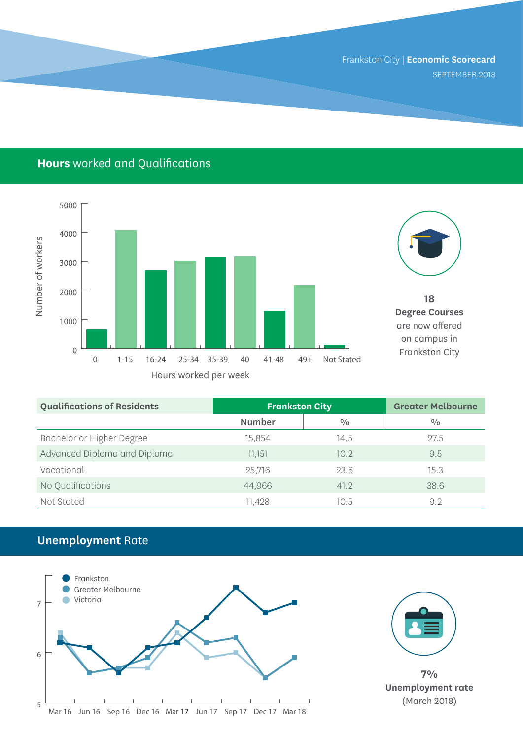## **Hours** worked and Qualifications





**18 Degree Courses**  are now offered on campus in Frankston City

| <b>Qualifications of Residents</b> | <b>Frankston City</b> |               | <b>Greater Melbourne</b> |
|------------------------------------|-----------------------|---------------|--------------------------|
|                                    | Number                | $\frac{0}{0}$ | $\frac{0}{0}$            |
| Bachelor or Higher Degree          | 15.854                | 14.5          | 27.5                     |
| Advanced Diploma and Diploma       | 11.151                | 10.9          | 9.5                      |
| Vocational                         | 25,716                | 23.6          | 15.3                     |
| No Qualifications                  | 44,966                | 41.2          | 38.6                     |
| Not Stated                         | 11,428                | 10.5          | 9.2                      |

## **Unemployment** Rate





**7% Unemployment rate**  (March 2018)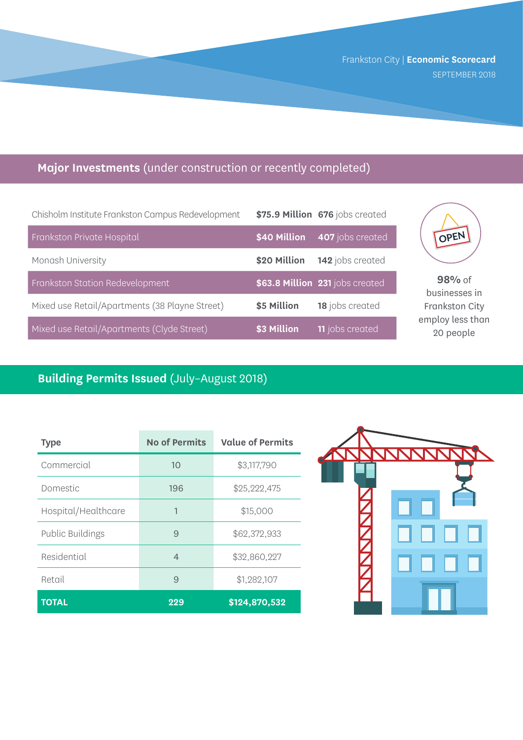## **Major Investments** (under construction or recently completed)

| Chisholm Institute Frankston Campus Redevelopment |              | \$75.9 Million 676 jobs created |
|---------------------------------------------------|--------------|---------------------------------|
| Frankston Private Hospital                        | \$40 Million | 407 jobs created                |
| Monash University                                 | \$20 Million | 142 jobs created                |
| Frankston Station Redevelopment                   |              | \$63.8 Million 231 jobs created |
| Mixed use Retail/Apartments (38 Playne Street)    | \$5 Million  | 18 jobs created                 |
| Mixed use Retail/Apartments (Clyde Street)        | \$3 Million  | <b>11</b> jobs created          |



**98%** of businesses in Frankston City employ less than 20 people

## **Building Permits Issued** (July–August 2018)

| Type                    | <b>No of Permits</b> | <b>Value of Permits</b> |
|-------------------------|----------------------|-------------------------|
| Commercial              | 10                   | \$3,117,790             |
| Domestic                | 196                  | \$25,222,475            |
| Hospital/Healthcare     | 1                    | \$15,000                |
| <b>Public Buildings</b> | 9                    | \$62,372,933            |
| Residential             | $\overline{4}$       | \$32,860,227            |
| Retail                  | 9                    | \$1,282,107             |
| <b>TOTAL</b>            | 229                  | \$124,870,532           |

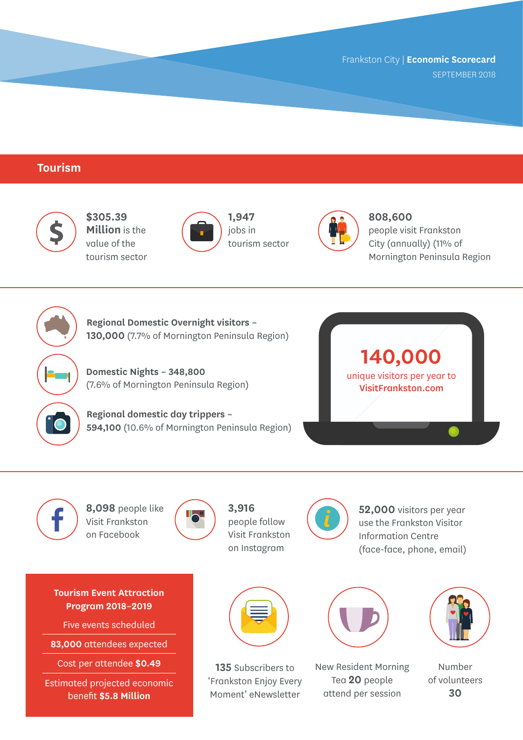#### **Tourism**



**Tourism Event Attraction Program 2018–2019**

Five events scheduled

**83,000** attendees expected

Cost per attendee **\$0.49**

Estimated projected economic benefit **\$5.8 Million**



**135** Subscribers to 'Frankston Enjoy Every Moment' eNewsletter



New Resident Morning Tea **20** people attend per session



Number of volunteers **30**